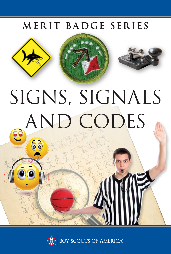# MERIT BADGE SERIES







# SIGNS, SIGNALS e AND CODES

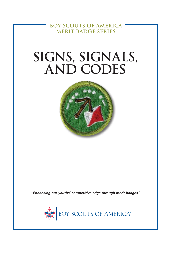**BOY SCOUTS OF AMERICA MERIT BADGE SERIES**

# **SIGNS, SIGNALS, AND CODES**



*"Enhancing our youths' competitive edge through merit badges"*

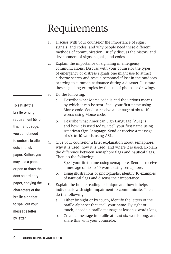# Requirements

- 1. Discuss with your counselor the importance of signs, signals, and codes, and why people need these different methods of communication. Briefly discuss the history and development of signs, signals, and codes.
- 2. Explain the importance of signaling in emergency communications. Discuss with your counselor the types of emergency or distress signals one might use to attract airborne search-and-rescue personnel if lost in the outdoors or trying to summon assistance during a disaster. Illustrate these signaling examples by the use of photos or drawings.
- 3. Do the following:
	- a. Describe what Morse code is and the various means by which it can be sent. Spell your first name using Morse code. Send or receive a message of six to 10 words using Morse code.
	- b. Describe what American Sign Language (ASL) is and how it is used today. Spell your first name using American Sign Language. Send or receive a message of six to 10 words using ASL.
- 4. Give your counselor a brief explanation about semaphore, why it is used, how it is used, and where it is used. Explain the difference between semaphore flags and nautical flags. Then do the following:
	- a. Spell your first name using semaphore. Send or receive a message of six to 10 words using semaphore.
	- b. Using illustrations or photographs, identify 10 examples of nautical flags and discuss their importance.
- 5. Explain the braille reading technique and how it helps individuals with sight impairment to communicate. Then do the following:
	- a. Either by sight or by touch, identify the letters of the braille alphabet that spell your name. By sight or touch, decode a braille message at least six words long.
	- b. Create a message in braille at least six words long, and share this with your counselor.

braille writing requirement 5b for this merit badge, you do not need to emboss braille dots in thick paper. Rather, you may use a pencil or pen to draw the dots on ordinary paper, copying the characters of the braille alphabet to spell out your message letter by letter.

To satisfy the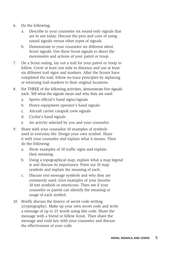- 6. Do the following:
	- a. Describe to your counselor six sound-only signals that are in use today. Discuss the pros and cons of using sound signals versus other types of signals.
	- b. Demonstrate to your counselor six different silent Scout signals. Use these Scout signals to direct the movements and actions of your patrol or troop.
- 7. On a Scout outing, lay out a trail for your patrol or troop to follow. Cover at least one mile in distance and use at least six different trail signs and markers. After the Scouts have completed the trail, follow no-trace principles by replacing or returning trail markers to their original locations.
- 8. For THREE of the following activities, demonstrate five signals each. Tell what the signals mean and why they are used:
	- a. Sports official's hand signs/signals
	- b. Heavy-equipment operator's hand signals
	- c. Aircraft carrier catapult crew signals
	- d. Cyclist's hand signals
	- e. An activity selected by you and your counselor
- 9. Share with your counselor 10 examples of symbols used in everyday life. Design your own symbol. Share it with your counselor and explain what it means. Then do the following:
	- a. Show examples of 10 traffic signs and explain their meaning.
	- b. Using a topographical map, explain what a map legend is and discuss its importance. Point out 10 map symbols and explain the meaning of each.
	- c. Discuss text-message symbols and why they are commonly used. Give examples of your favorite 10 text symbols or emoticons. Then see if your counselor or parent can identify the meaning or usage of each symbol.
- 10. Briefly discuss the history of secret code writing (cryptography). Make up your own secret code and write a message of up to 25 words using this code. Share the message with a friend or fellow Scout. Then share the message and code key with your counselor and discuss the effectiveness of your code.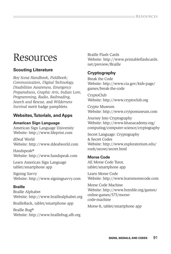# **Resources**

# **Scouting Literature**

*Boy Scout Handbook*, *Fieldbook*; *Communication, Digital Technology, Disabilities Awareness, Emergency Preparedness, Graphic Arts, Indian Lore, Programming, Radio, Railroading, Search and Rescue,* and *Wilderness Survival* merit badge pamphlets.

## **Websites, Tutorials, and Apps**

## **American Sign Language**

American Sign Language University Website: http://www.lifeprint.com

dDeaf World Website: http://www.ddeafworld.com

Handspeak® Website: http://www.handspeak.com

Learn American Sign Language tablet/smartphone app

Signing Savvy Website: http://www.signingsavvy.com

## **Braille**

Braille Alphabet Website: http://www.braillealphabet.org

BrailleBack, tablet/smartphone app

Braille Bug® Website: http://www.braillebug.afb.org Braille Flash Cards Website: http://www.printableflashcards. net/preview/Braille

# **Cryptography**

Break the Code Website: http://www.cia.gov/kids-page/ games/break-the-code

CryptoClub Website: http://www.cryptoclub.org

Crypto Museum Website: http://www.crytpomuseum.com

Journey Into Cryptography Website: http://www.khanacademy.org/ computing/computer-science/cryptography

Secret Language: Cryptography & Secret Codes Website: http://www.exploratorium.edu/ ronh/secret/secret.html

### **Morse Code**

AE Morse Code Tutor, tablet/smartphone app

Learn Morse Code Website: http://www.learnmorsecode.com

Morse Code Machine Website: http://www.boyslife.org/games/ online-games/575/morsecode-machine

Morse-It, tablet/smartphone app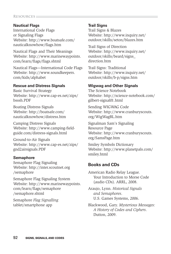#### **Resources.**

#### **Nautical Flags**

International Code Flags or Signaling Flags Website: http://www.boatsafe.com/ nauticalknowhow/flags.htm

Nautical Flags and Their Meanings Website: http://www.marinewaypoints. com/learn/flags/flags.shtml

Nautical Flags—International Code Flags Website: http://www.soundkeepers. com/kids/alphabet

#### **Rescue and Distress Signals**

Basic Survival Strategy Website: http://www.cap-es.net/zips/ bsssh.PDF

Boating Distress Signals Website: http://boatsafe.com/ nauticalknowhow/distress.htm

Camping Distress Signals Website: http://www.camping-fieldguide.com/distress-signals.html

Ground-to-Air Signals Website: http://www.cap-es.net/zips/ gnd2airsignals.PDF

#### **Semaphore**

Semaphore Flag Signaling Website: http://inter.scoutnet.org /semaphore

Semaphore Flag Signaling System Website: http://www.marinewaypoints. com/learn/flags/semaphore /semaphore.shtml

Semaphore *Flag Signalling* tablet/smartphone app

#### **Trail Signs**

Trail Signs & Blazes Website: http://www.inquiry.net/ outdoor/skills/seton/blazes.htm

Trail Signs of Direction Website: http://www.inquiry.net/ outdoor/skills/beard/signs\_ direction.htm

Trail Signs: Traditional Website: http://www.inquiry.net/ outdoor/skills/b-p/signs.htm

#### **Wigwag and Other Signals**

The Science Notebook Website: http://science-notebook.com/ gilbert-signal01.html

Sending WIGWAG Code Website: http://www.cranburyscouts. org/WigWagBL.htm

Signalman Sam's Signaling Resource Page Website: http://www.cranburyscouts. org/SamsPage.htm

Smiley Symbols Dictionary Website: http://www.planetpals.com/ smiley.html

#### **Books and CDs**

American Radio Relay League. Your Introduction to Morse Code (audio CDs). ARRL, 2008.

Araujo, Lynn. *Historical Signals and Semaphores*. U.S. Games Systems, 2006.

Blackwood, Gary. *Mysterious Messages: A History of Codes and Ciphers*. Dutton, 2009.